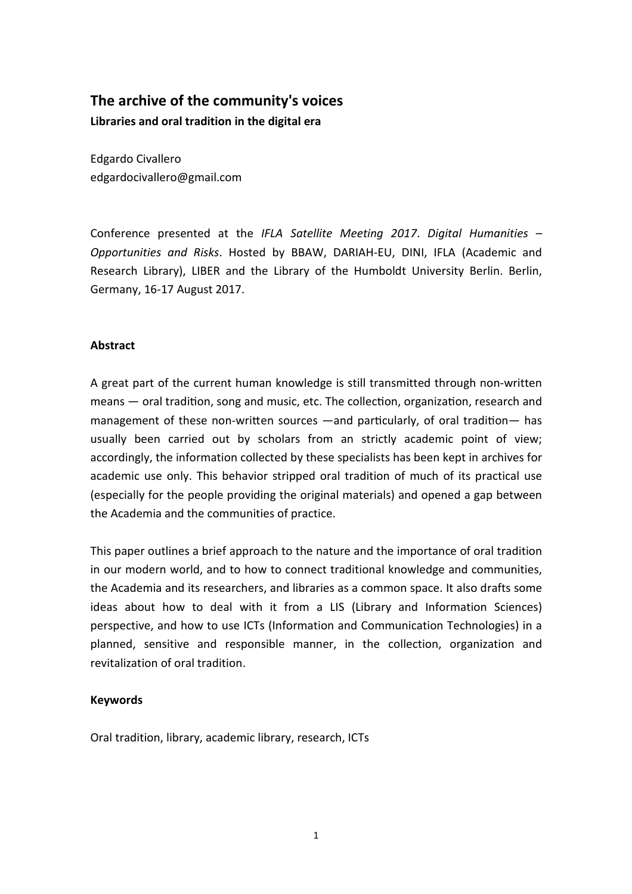# **The archive of the community's voices**

**Libraries and oral tradition in the digital era** 

Edgardo Civallero edgardocivallero@gmail.com

Conference presented at the *IFLA Satellite Meeting 2017*. *Digital Humanities – Opportunities and Risks*. Hosted by BBAW, DARIAH-EU, DINI, IFLA (Academic and Research Library), LIBER and the Library of the Humboldt University Berlin. Berlin, Germany, 16-17 August 2017.

# **Abstract**

A great part of the current human knowledge is still transmitted through non-written means — oral tradition, song and music, etc. The collection, organization, research and management of these non-written sources —and particularly, of oral tradition— has usually been carried out by scholars from an strictly academic point of view; accordingly, the information collected by these specialists has been kept in archives for academic use only. This behavior stripped oral tradition of much of its practical use (especially for the people providing the original materials) and opened a gap between the Academia and the communities of practice.

This paper outlines a brief approach to the nature and the importance of oral tradition in our modern world, and to how to connect traditional knowledge and communities, the Academia and its researchers, and libraries as a common space. It also drafts some ideas about how to deal with it from a LIS (Library and Information Sciences) perspective, and how to use ICTs (Information and Communication Technologies) in a planned, sensitive and responsible manner, in the collection, organization and revitalization of oral tradition.

# **Keywords**

Oral tradition, library, academic library, research, ICTs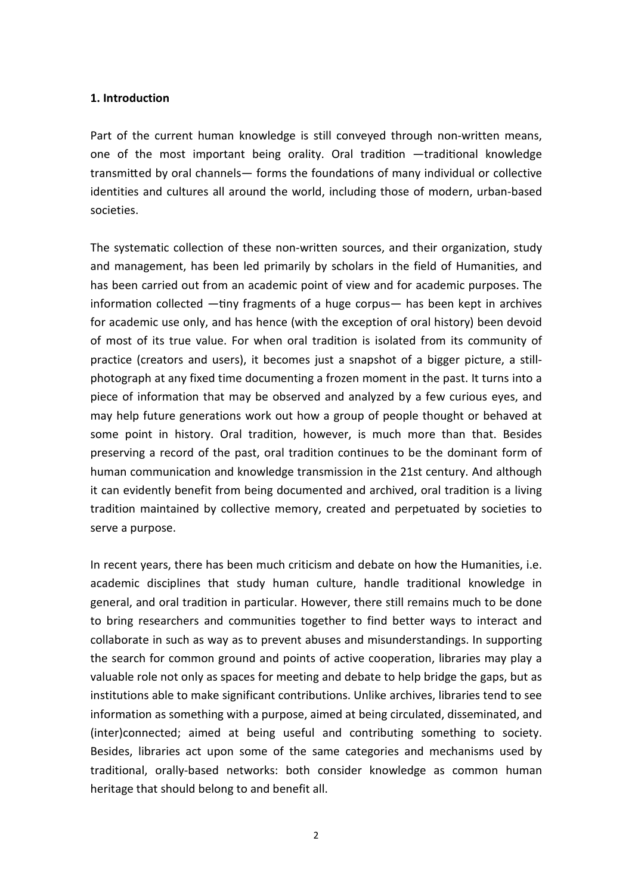#### **1. Introduction**

Part of the current human knowledge is still conveyed through non-written means, one of the most important being orality. Oral tradition —traditional knowledge transmitted by oral channels— forms the foundations of many individual or collective identities and cultures all around the world, including those of modern, urban-based societies.

The systematic collection of these non-written sources, and their organization, study and management, has been led primarily by scholars in the field of Humanities, and has been carried out from an academic point of view and for academic purposes. The information collected  $-\text{tiny}$  fragments of a huge corpus— has been kept in archives for academic use only, and has hence (with the exception of oral history) been devoid of most of its true value. For when oral tradition is isolated from its community of practice (creators and users), it becomes just a snapshot of a bigger picture, a stillphotograph at any fixed time documenting a frozen moment in the past. It turns into a piece of information that may be observed and analyzed by a few curious eyes, and may help future generations work out how a group of people thought or behaved at some point in history. Oral tradition, however, is much more than that. Besides preserving a record of the past, oral tradition continues to be the dominant form of human communication and knowledge transmission in the 21st century. And although it can evidently benefit from being documented and archived, oral tradition is a living tradition maintained by collective memory, created and perpetuated by societies to serve a purpose.

In recent years, there has been much criticism and debate on how the Humanities, i.e. academic disciplines that study human culture, handle traditional knowledge in general, and oral tradition in particular. However, there still remains much to be done to bring researchers and communities together to find better ways to interact and collaborate in such as way as to prevent abuses and misunderstandings. In supporting the search for common ground and points of active cooperation, libraries may play a valuable role not only as spaces for meeting and debate to help bridge the gaps, but as institutions able to make significant contributions. Unlike archives, libraries tend to see information as something with a purpose, aimed at being circulated, disseminated, and (inter)connected; aimed at being useful and contributing something to society. Besides, libraries act upon some of the same categories and mechanisms used by traditional, orally-based networks: both consider knowledge as common human heritage that should belong to and benefit all.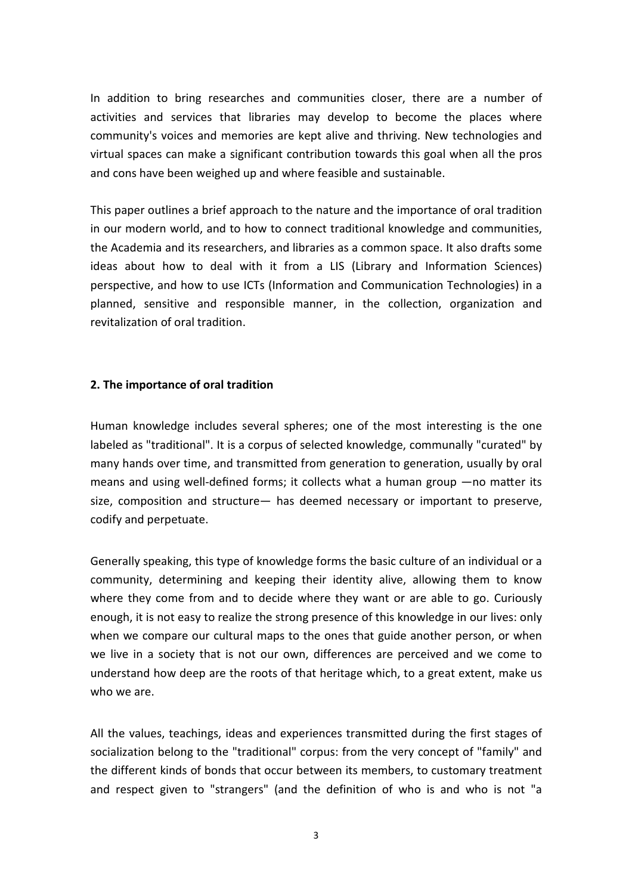In addition to bring researches and communities closer, there are a number of activities and services that libraries may develop to become the places where community's voices and memories are kept alive and thriving. New technologies and virtual spaces can make a significant contribution towards this goal when all the pros and cons have been weighed up and where feasible and sustainable.

This paper outlines a brief approach to the nature and the importance of oral tradition in our modern world, and to how to connect traditional knowledge and communities, the Academia and its researchers, and libraries as a common space. It also drafts some ideas about how to deal with it from a LIS (Library and Information Sciences) perspective, and how to use ICTs (Information and Communication Technologies) in a planned, sensitive and responsible manner, in the collection, organization and revitalization of oral tradition.

# **2. The importance of oral tradition**

Human knowledge includes several spheres; one of the most interesting is the one labeled as "traditional". It is a corpus of selected knowledge, communally "curated" by many hands over time, and transmitted from generation to generation, usually by oral means and using well-defined forms; it collects what a human group  $-$ no matter its size, composition and structure— has deemed necessary or important to preserve, codify and perpetuate.

Generally speaking, this type of knowledge forms the basic culture of an individual or a community, determining and keeping their identity alive, allowing them to know where they come from and to decide where they want or are able to go. Curiously enough, it is not easy to realize the strong presence of this knowledge in our lives: only when we compare our cultural maps to the ones that guide another person, or when we live in a society that is not our own, differences are perceived and we come to understand how deep are the roots of that heritage which, to a great extent, make us who we are.

All the values, teachings, ideas and experiences transmitted during the first stages of socialization belong to the "traditional" corpus: from the very concept of "family" and the different kinds of bonds that occur between its members, to customary treatment and respect given to "strangers" (and the definition of who is and who is not "a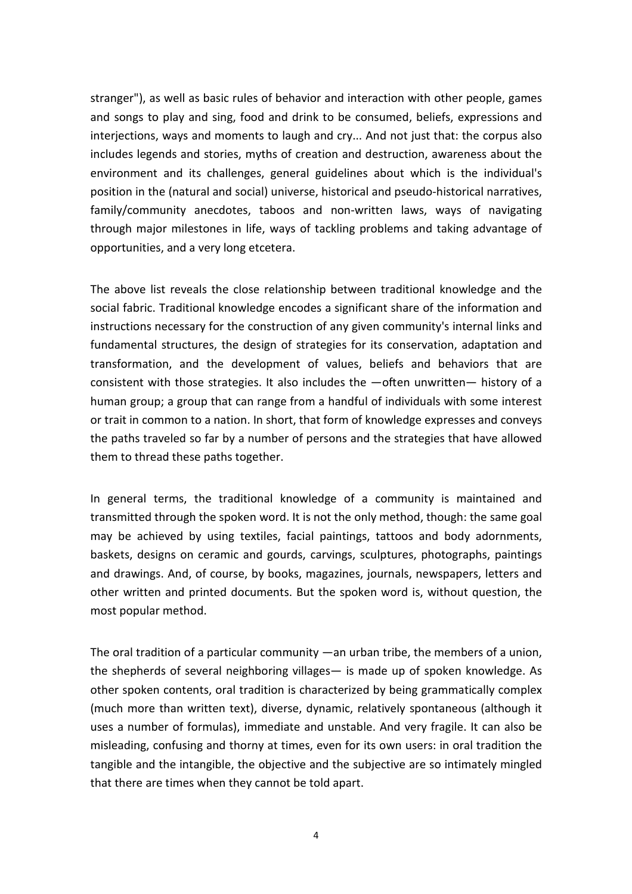stranger"), as well as basic rules of behavior and interaction with other people, games and songs to play and sing, food and drink to be consumed, beliefs, expressions and interjections, ways and moments to laugh and cry... And not just that: the corpus also includes legends and stories, myths of creation and destruction, awareness about the environment and its challenges, general guidelines about which is the individual's position in the (natural and social) universe, historical and pseudo-historical narratives, family/community anecdotes, taboos and non-written laws, ways of navigating through major milestones in life, ways of tackling problems and taking advantage of opportunities, and a very long etcetera.

The above list reveals the close relationship between traditional knowledge and the social fabric. Traditional knowledge encodes a significant share of the information and instructions necessary for the construction of any given community's internal links and fundamental structures, the design of strategies for its conservation, adaptation and transformation, and the development of values, beliefs and behaviors that are consistent with those strategies. It also includes the  $-$ often unwritten $-$  history of a human group; a group that can range from a handful of individuals with some interest or trait in common to a nation. In short, that form of knowledge expresses and conveys the paths traveled so far by a number of persons and the strategies that have allowed them to thread these paths together.

In general terms, the traditional knowledge of a community is maintained and transmitted through the spoken word. It is not the only method, though: the same goal may be achieved by using textiles, facial paintings, tattoos and body adornments, baskets, designs on ceramic and gourds, carvings, sculptures, photographs, paintings and drawings. And, of course, by books, magazines, journals, newspapers, letters and other written and printed documents. But the spoken word is, without question, the most popular method.

The oral tradition of a particular community ―an urban tribe, the members of a union, the shepherds of several neighboring villages― is made up of spoken knowledge. As other spoken contents, oral tradition is characterized by being grammatically complex (much more than written text), diverse, dynamic, relatively spontaneous (although it uses a number of formulas), immediate and unstable. And very fragile. It can also be misleading, confusing and thorny at times, even for its own users: in oral tradition the tangible and the intangible, the objective and the subjective are so intimately mingled that there are times when they cannot be told apart.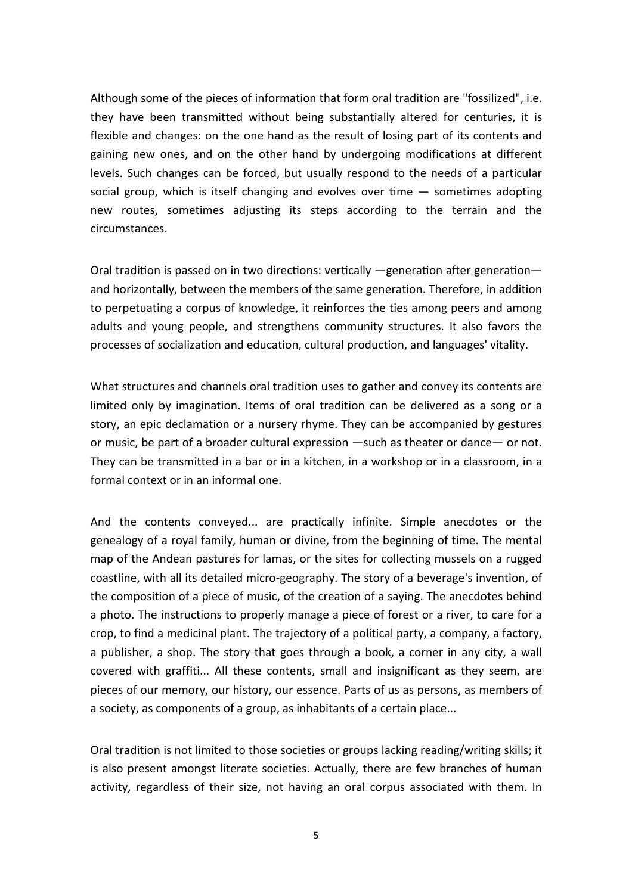Although some of the pieces of information that form oral tradition are "fossilized", i.e. they have been transmitted without being substantially altered for centuries, it is flexible and changes: on the one hand as the result of losing part of its contents and gaining new ones, and on the other hand by undergoing modifications at different levels. Such changes can be forced, but usually respond to the needs of a particular social group, which is itself changing and evolves over time  $-$  sometimes adopting new routes, sometimes adjusting its steps according to the terrain and the circumstances.

Oral tradition is passed on in two directions: vertically —generation after generation and horizontally, between the members of the same generation. Therefore, in addition to perpetuating a corpus of knowledge, it reinforces the ties among peers and among adults and young people, and strengthens community structures. It also favors the processes of socialization and education, cultural production, and languages' vitality.

What structures and channels oral tradition uses to gather and convey its contents are limited only by imagination. Items of oral tradition can be delivered as a song or a story, an epic declamation or a nursery rhyme. They can be accompanied by gestures or music, be part of a broader cultural expression ―such as theater or dance― or not. They can be transmitted in a bar or in a kitchen, in a workshop or in a classroom, in a formal context or in an informal one.

And the contents conveyed... are practically infinite. Simple anecdotes or the genealogy of a royal family, human or divine, from the beginning of time. The mental map of the Andean pastures for lamas, or the sites for collecting mussels on a rugged coastline, with all its detailed micro-geography. The story of a beverage's invention, of the composition of a piece of music, of the creation of a saying. The anecdotes behind a photo. The instructions to properly manage a piece of forest or a river, to care for a crop, to find a medicinal plant. The trajectory of a political party, a company, a factory, a publisher, a shop. The story that goes through a book, a corner in any city, a wall covered with graffiti... All these contents, small and insignificant as they seem, are pieces of our memory, our history, our essence. Parts of us as persons, as members of a society, as components of a group, as inhabitants of a certain place...

Oral tradition is not limited to those societies or groups lacking reading/writing skills; it is also present amongst literate societies. Actually, there are few branches of human activity, regardless of their size, not having an oral corpus associated with them. In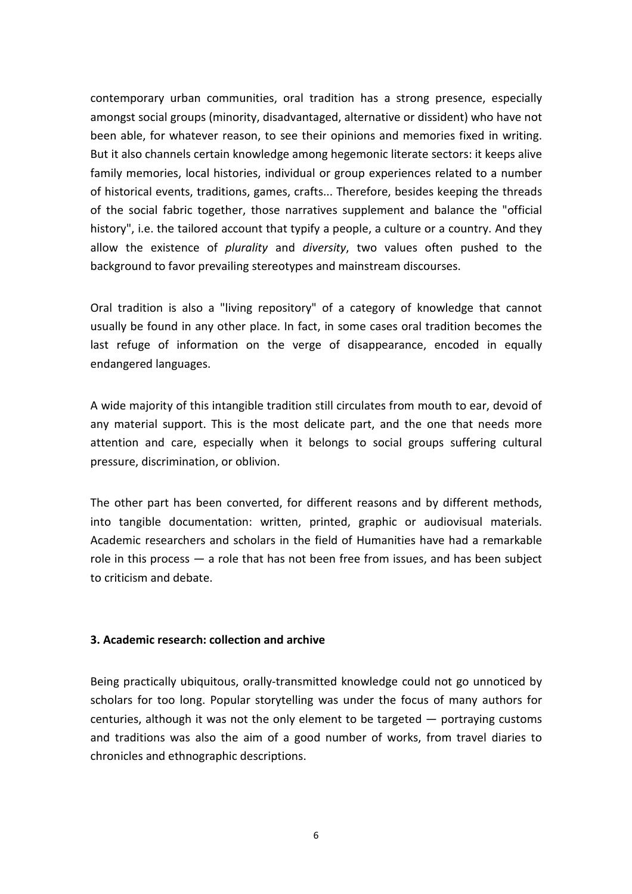contemporary urban communities, oral tradition has a strong presence, especially amongst social groups (minority, disadvantaged, alternative or dissident) who have not been able, for whatever reason, to see their opinions and memories fixed in writing. But it also channels certain knowledge among hegemonic literate sectors: it keeps alive family memories, local histories, individual or group experiences related to a number of historical events, traditions, games, crafts... Therefore, besides keeping the threads of the social fabric together, those narratives supplement and balance the "official history", i.e. the tailored account that typify a people, a culture or a country. And they allow the existence of *plurality* and *diversity*, two values often pushed to the background to favor prevailing stereotypes and mainstream discourses.

Oral tradition is also a "living repository" of a category of knowledge that cannot usually be found in any other place. In fact, in some cases oral tradition becomes the last refuge of information on the verge of disappearance, encoded in equally endangered languages.

A wide majority of this intangible tradition still circulates from mouth to ear, devoid of any material support. This is the most delicate part, and the one that needs more attention and care, especially when it belongs to social groups suffering cultural pressure, discrimination, or oblivion.

The other part has been converted, for different reasons and by different methods, into tangible documentation: written, printed, graphic or audiovisual materials. Academic researchers and scholars in the field of Humanities have had a remarkable role in this process ― a role that has not been free from issues, and has been subject to criticism and debate.

# **3. Academic research: collection and archive**

Being practically ubiquitous, orally-transmitted knowledge could not go unnoticed by scholars for too long. Popular storytelling was under the focus of many authors for centuries, although it was not the only element to be targeted  $-$  portraying customs and traditions was also the aim of a good number of works, from travel diaries to chronicles and ethnographic descriptions.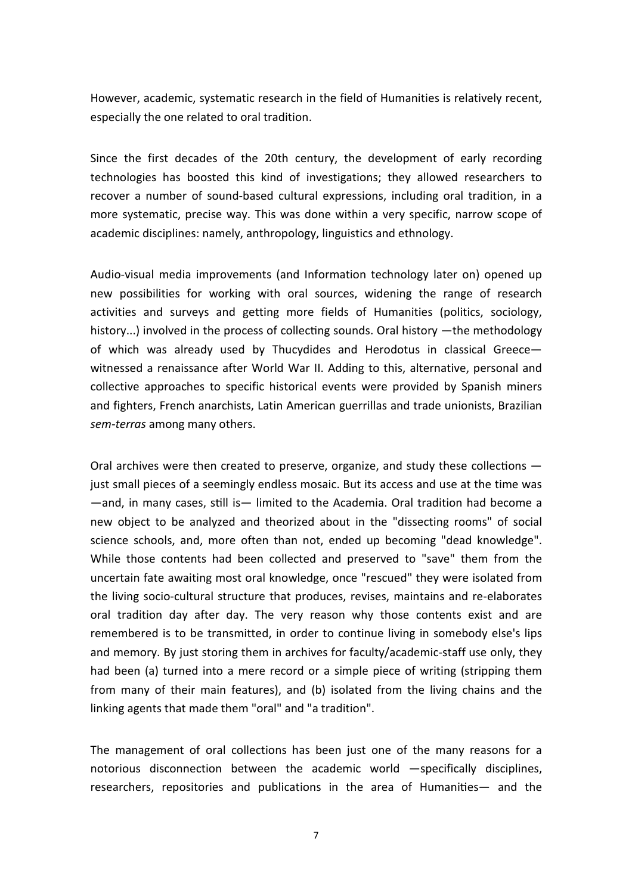However, academic, systematic research in the field of Humanities is relatively recent, especially the one related to oral tradition.

Since the first decades of the 20th century, the development of early recording technologies has boosted this kind of investigations; they allowed researchers to recover a number of sound-based cultural expressions, including oral tradition, in a more systematic, precise way. This was done within a very specific, narrow scope of academic disciplines: namely, anthropology, linguistics and ethnology.

Audio-visual media improvements (and Information technology later on) opened up new possibilities for working with oral sources, widening the range of research activities and surveys and getting more fields of Humanities (politics, sociology, history...) involved in the process of collecting sounds. Oral history —the methodology of which was already used by Thucydides and Herodotus in classical Greece― witnessed a renaissance after World War II. Adding to this, alternative, personal and collective approaches to specific historical events were provided by Spanish miners and fighters, French anarchists, Latin American guerrillas and trade unionists, Brazilian *sem-terras* among many others.

Oral archives were then created to preserve, organize, and study these collections  $$ just small pieces of a seemingly endless mosaic. But its access and use at the time was ―and, in many cases, s2ll is― limited to the Academia. Oral tradition had become a new object to be analyzed and theorized about in the "dissecting rooms" of social science schools, and, more often than not, ended up becoming "dead knowledge". While those contents had been collected and preserved to "save" them from the uncertain fate awaiting most oral knowledge, once "rescued" they were isolated from the living socio-cultural structure that produces, revises, maintains and re-elaborates oral tradition day after day. The very reason why those contents exist and are remembered is to be transmitted, in order to continue living in somebody else's lips and memory. By just storing them in archives for faculty/academic-staff use only, they had been (a) turned into a mere record or a simple piece of writing (stripping them from many of their main features), and (b) isolated from the living chains and the linking agents that made them "oral" and "a tradition".

The management of oral collections has been just one of the many reasons for a notorious disconnection between the academic world ―specifically disciplines, researchers, repositories and publications in the area of Humanities— and the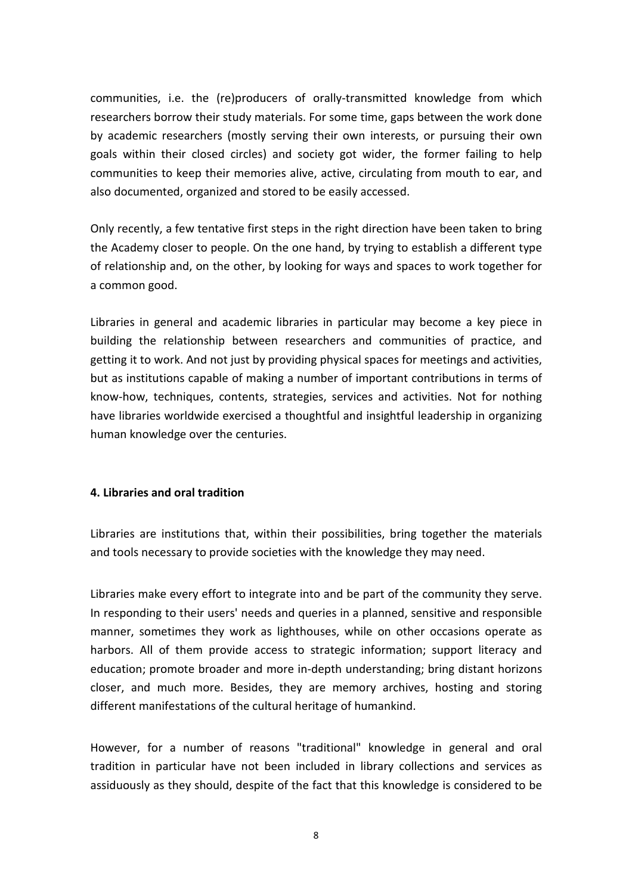communities, i.e. the (re)producers of orally-transmitted knowledge from which researchers borrow their study materials. For some time, gaps between the work done by academic researchers (mostly serving their own interests, or pursuing their own goals within their closed circles) and society got wider, the former failing to help communities to keep their memories alive, active, circulating from mouth to ear, and also documented, organized and stored to be easily accessed.

Only recently, a few tentative first steps in the right direction have been taken to bring the Academy closer to people. On the one hand, by trying to establish a different type of relationship and, on the other, by looking for ways and spaces to work together for a common good.

Libraries in general and academic libraries in particular may become a key piece in building the relationship between researchers and communities of practice, and getting it to work. And not just by providing physical spaces for meetings and activities, but as institutions capable of making a number of important contributions in terms of know-how, techniques, contents, strategies, services and activities. Not for nothing have libraries worldwide exercised a thoughtful and insightful leadership in organizing human knowledge over the centuries.

# **4. Libraries and oral tradition**

Libraries are institutions that, within their possibilities, bring together the materials and tools necessary to provide societies with the knowledge they may need.

Libraries make every effort to integrate into and be part of the community they serve. In responding to their users' needs and queries in a planned, sensitive and responsible manner, sometimes they work as lighthouses, while on other occasions operate as harbors. All of them provide access to strategic information; support literacy and education; promote broader and more in-depth understanding; bring distant horizons closer, and much more. Besides, they are memory archives, hosting and storing different manifestations of the cultural heritage of humankind.

However, for a number of reasons "traditional" knowledge in general and oral tradition in particular have not been included in library collections and services as assiduously as they should, despite of the fact that this knowledge is considered to be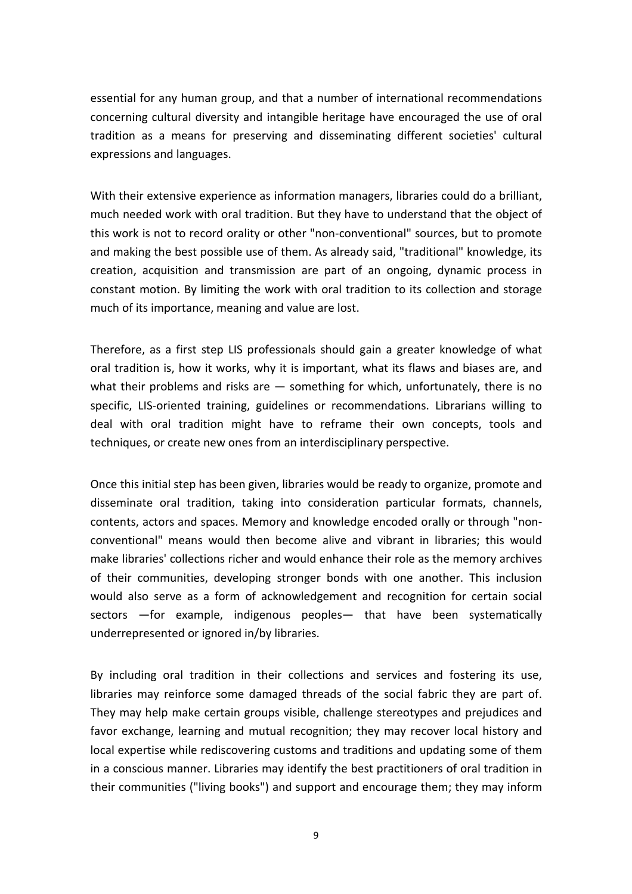essential for any human group, and that a number of international recommendations concerning cultural diversity and intangible heritage have encouraged the use of oral tradition as a means for preserving and disseminating different societies' cultural expressions and languages.

With their extensive experience as information managers, libraries could do a brilliant, much needed work with oral tradition. But they have to understand that the object of this work is not to record orality or other "non-conventional" sources, but to promote and making the best possible use of them. As already said, "traditional" knowledge, its creation, acquisition and transmission are part of an ongoing, dynamic process in constant motion. By limiting the work with oral tradition to its collection and storage much of its importance, meaning and value are lost.

Therefore, as a first step LIS professionals should gain a greater knowledge of what oral tradition is, how it works, why it is important, what its flaws and biases are, and what their problems and risks are  $-$  something for which, unfortunately, there is no specific, LIS-oriented training, guidelines or recommendations. Librarians willing to deal with oral tradition might have to reframe their own concepts, tools and techniques, or create new ones from an interdisciplinary perspective.

Once this initial step has been given, libraries would be ready to organize, promote and disseminate oral tradition, taking into consideration particular formats, channels, contents, actors and spaces. Memory and knowledge encoded orally or through "nonconventional" means would then become alive and vibrant in libraries; this would make libraries' collections richer and would enhance their role as the memory archives of their communities, developing stronger bonds with one another. This inclusion would also serve as a form of acknowledgement and recognition for certain social sectors —for example, indigenous peoples— that have been systematically underrepresented or ignored in/by libraries.

By including oral tradition in their collections and services and fostering its use, libraries may reinforce some damaged threads of the social fabric they are part of. They may help make certain groups visible, challenge stereotypes and prejudices and favor exchange, learning and mutual recognition; they may recover local history and local expertise while rediscovering customs and traditions and updating some of them in a conscious manner. Libraries may identify the best practitioners of oral tradition in their communities ("living books") and support and encourage them; they may inform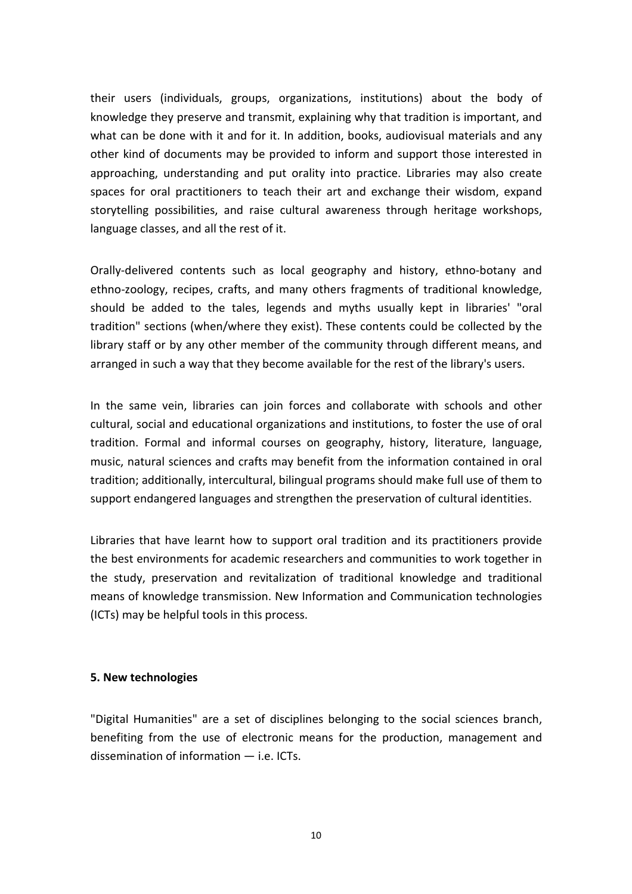their users (individuals, groups, organizations, institutions) about the body of knowledge they preserve and transmit, explaining why that tradition is important, and what can be done with it and for it. In addition, books, audiovisual materials and any other kind of documents may be provided to inform and support those interested in approaching, understanding and put orality into practice. Libraries may also create spaces for oral practitioners to teach their art and exchange their wisdom, expand storytelling possibilities, and raise cultural awareness through heritage workshops, language classes, and all the rest of it.

Orally-delivered contents such as local geography and history, ethno-botany and ethno-zoology, recipes, crafts, and many others fragments of traditional knowledge, should be added to the tales, legends and myths usually kept in libraries' "oral tradition" sections (when/where they exist). These contents could be collected by the library staff or by any other member of the community through different means, and arranged in such a way that they become available for the rest of the library's users.

In the same vein, libraries can join forces and collaborate with schools and other cultural, social and educational organizations and institutions, to foster the use of oral tradition. Formal and informal courses on geography, history, literature, language, music, natural sciences and crafts may benefit from the information contained in oral tradition; additionally, intercultural, bilingual programs should make full use of them to support endangered languages and strengthen the preservation of cultural identities.

Libraries that have learnt how to support oral tradition and its practitioners provide the best environments for academic researchers and communities to work together in the study, preservation and revitalization of traditional knowledge and traditional means of knowledge transmission. New Information and Communication technologies (ICTs) may be helpful tools in this process.

# **5. New technologies**

"Digital Humanities" are a set of disciplines belonging to the social sciences branch, benefiting from the use of electronic means for the production, management and dissemination of information ― i.e. ICTs.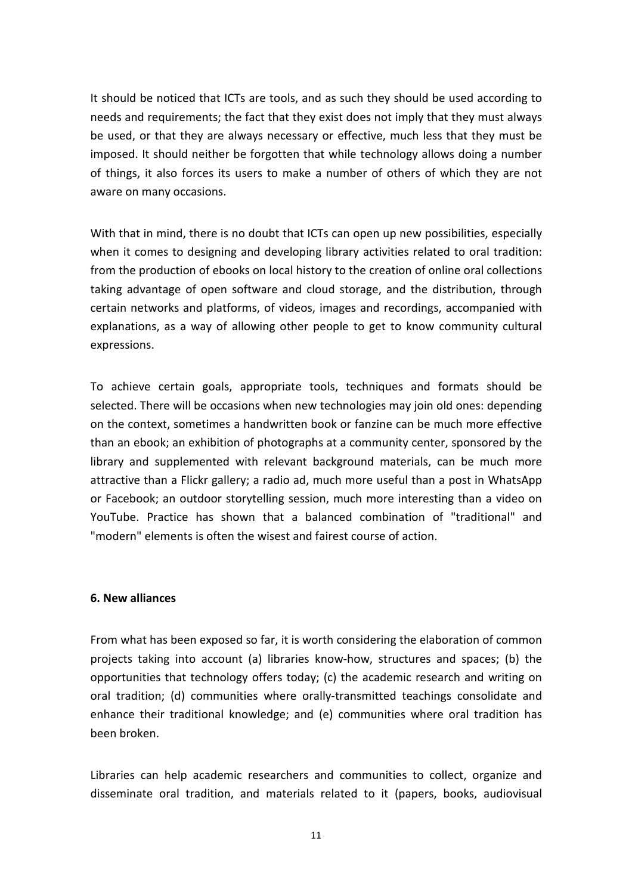It should be noticed that ICTs are tools, and as such they should be used according to needs and requirements; the fact that they exist does not imply that they must always be used, or that they are always necessary or effective, much less that they must be imposed. It should neither be forgotten that while technology allows doing a number of things, it also forces its users to make a number of others of which they are not aware on many occasions.

With that in mind, there is no doubt that ICTs can open up new possibilities, especially when it comes to designing and developing library activities related to oral tradition: from the production of ebooks on local history to the creation of online oral collections taking advantage of open software and cloud storage, and the distribution, through certain networks and platforms, of videos, images and recordings, accompanied with explanations, as a way of allowing other people to get to know community cultural expressions.

To achieve certain goals, appropriate tools, techniques and formats should be selected. There will be occasions when new technologies may join old ones: depending on the context, sometimes a handwritten book or fanzine can be much more effective than an ebook; an exhibition of photographs at a community center, sponsored by the library and supplemented with relevant background materials, can be much more attractive than a Flickr gallery; a radio ad, much more useful than a post in WhatsApp or Facebook; an outdoor storytelling session, much more interesting than a video on YouTube. Practice has shown that a balanced combination of "traditional" and "modern" elements is often the wisest and fairest course of action.

#### **6. New alliances**

From what has been exposed so far, it is worth considering the elaboration of common projects taking into account (a) libraries know-how, structures and spaces; (b) the opportunities that technology offers today; (c) the academic research and writing on oral tradition; (d) communities where orally-transmitted teachings consolidate and enhance their traditional knowledge; and (e) communities where oral tradition has been broken.

Libraries can help academic researchers and communities to collect, organize and disseminate oral tradition, and materials related to it (papers, books, audiovisual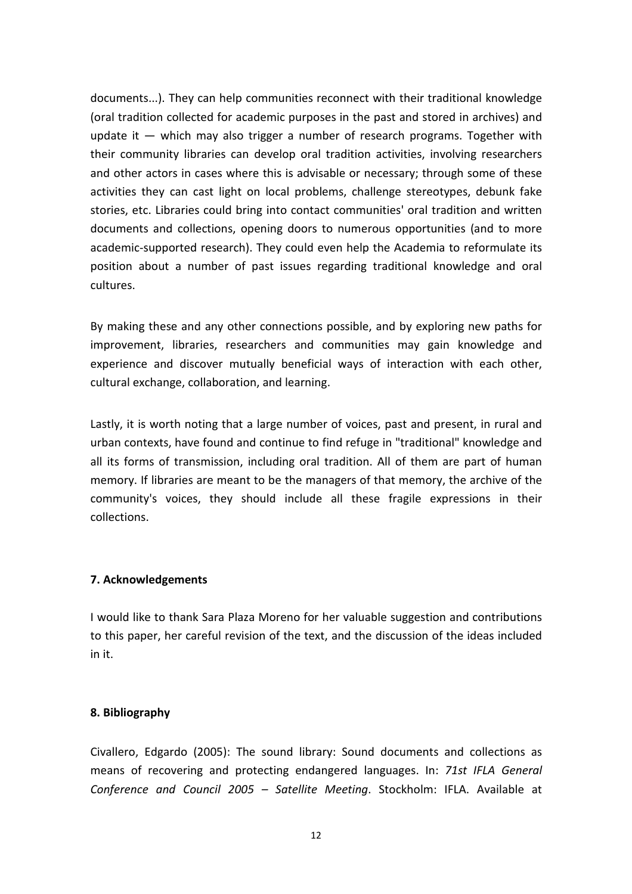documents...). They can help communities reconnect with their traditional knowledge (oral tradition collected for academic purposes in the past and stored in archives) and update it  $-$  which may also trigger a number of research programs. Together with their community libraries can develop oral tradition activities, involving researchers and other actors in cases where this is advisable or necessary; through some of these activities they can cast light on local problems, challenge stereotypes, debunk fake stories, etc. Libraries could bring into contact communities' oral tradition and written documents and collections, opening doors to numerous opportunities (and to more academic-supported research). They could even help the Academia to reformulate its position about a number of past issues regarding traditional knowledge and oral cultures.

By making these and any other connections possible, and by exploring new paths for improvement, libraries, researchers and communities may gain knowledge and experience and discover mutually beneficial ways of interaction with each other, cultural exchange, collaboration, and learning.

Lastly, it is worth noting that a large number of voices, past and present, in rural and urban contexts, have found and continue to find refuge in "traditional" knowledge and all its forms of transmission, including oral tradition. All of them are part of human memory. If libraries are meant to be the managers of that memory, the archive of the community's voices, they should include all these fragile expressions in their collections.

# **7. Acknowledgements**

I would like to thank Sara Plaza Moreno for her valuable suggestion and contributions to this paper, her careful revision of the text, and the discussion of the ideas included in it.

# **8. Bibliography**

Civallero, Edgardo (2005): The sound library: Sound documents and collections as means of recovering and protecting endangered languages. In: *71st IFLA General Conference and Council 2005 – Satellite Meeting*. Stockholm: IFLA. Available at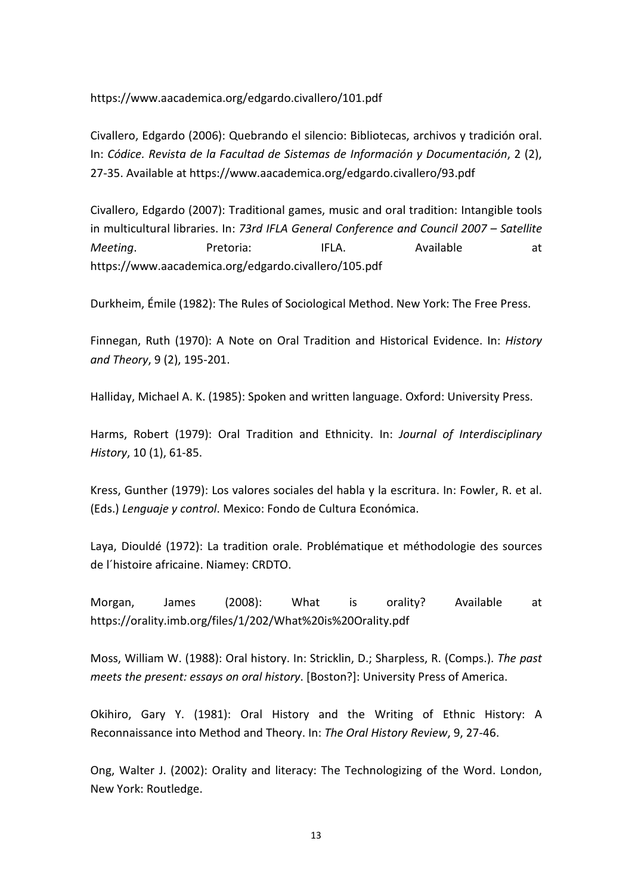https://www.aacademica.org/edgardo.civallero/101.pdf

Civallero, Edgardo (2006): Quebrando el silencio: Bibliotecas, archivos y tradición oral. In: *Códice. Revista de la Facultad de Sistemas de Información y Documentación*, 2 (2), 27-35. Available at https://www.aacademica.org/edgardo.civallero/93.pdf

Civallero, Edgardo (2007): Traditional games, music and oral tradition: Intangible tools in multicultural libraries. In: *73rd IFLA General Conference and Council 2007 – Satellite*  **Meeting.** Pretoria: IFLA. Available at https://www.aacademica.org/edgardo.civallero/105.pdf

Durkheim, Émile (1982): The Rules of Sociological Method. New York: The Free Press.

Finnegan, Ruth (1970): A Note on Oral Tradition and Historical Evidence. In: *History and Theory*, 9 (2), 195-201.

Halliday, Michael A. K. (1985): Spoken and written language. Oxford: University Press.

Harms, Robert (1979): Oral Tradition and Ethnicity. In: *Journal of Interdisciplinary History*, 10 (1), 61-85.

Kress, Gunther (1979): Los valores sociales del habla y la escritura. In: Fowler, R. et al. (Eds.) *Lenguaje y control*. Mexico: Fondo de Cultura Económica.

Laya, Diouldé (1972): La tradition orale. Problématique et méthodologie des sources de l´histoire africaine. Niamey: CRDTO.

Morgan, James (2008): What is orality? Available at https://orality.imb.org/files/1/202/What%20is%20Orality.pdf

Moss, William W. (1988): Oral history. In: Stricklin, D.; Sharpless, R. (Comps.). *The past meets the present: essays on oral history*. [Boston?]: University Press of America.

Okihiro, Gary Y. (1981): Oral History and the Writing of Ethnic History: A Reconnaissance into Method and Theory. In: *The Oral History Review*, 9, 27-46.

Ong, Walter J. (2002): Orality and literacy: The Technologizing of the Word. London, New York: Routledge.